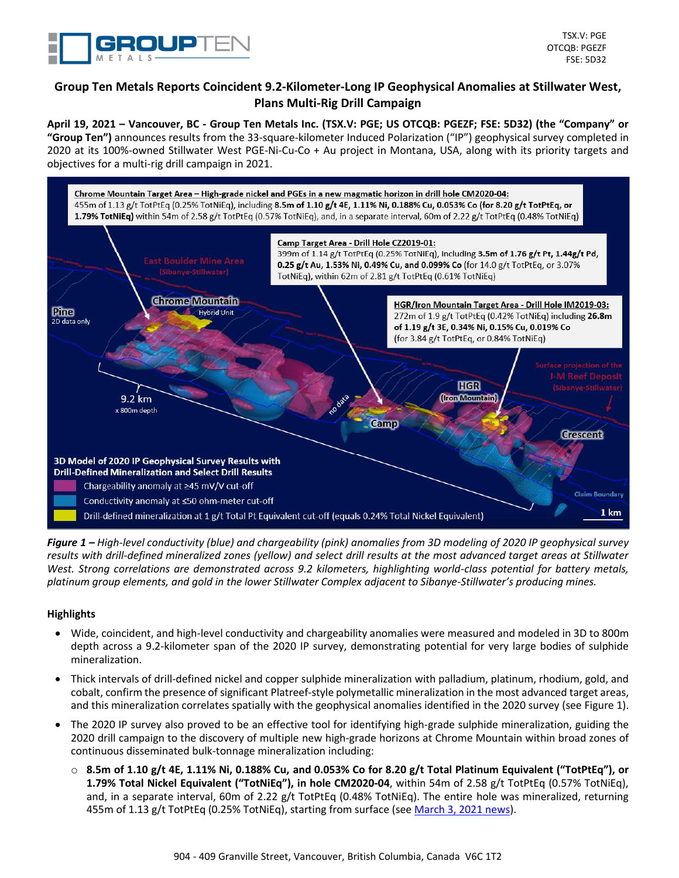

# **Group Ten Metals Reports Coincident 9.2-Kilometer-Long IP Geophysical Anomalies at Stillwater West, Plans Multi-Rig Drill Campaign**

**April 19, 2021 – Vancouver, BC - Group Ten Metals Inc. (TSX.V: PGE; US OTCQB: PGEZF; FSE: 5D32) (the "Company" or "Group Ten")** announces results from the 33-square-kilometer Induced Polarization ("IP") geophysical survey completed in 2020 at its 100%-owned Stillwater West PGE-Ni-Cu-Co + Au project in Montana, USA, along with its priority targets and objectives for a multi-rig drill campaign in 2021.



*Figure 1 – High-level conductivity (blue) and chargeability (pink) anomalies from 3D modeling of 2020 IP geophysical survey results with drill-defined mineralized zones (yellow) and select drill results at the most advanced target areas at Stillwater West. Strong correlations are demonstrated across 9.2 kilometers, highlighting world-class potential for battery metals, platinum group elements, and gold in the lower Stillwater Complex adjacent to Sibanye-Stillwater's producing mines.*

## **Highlights**

- Wide, coincident, and high-level conductivity and chargeability anomalies were measured and modeled in 3D to 800m depth across a 9.2-kilometer span of the 2020 IP survey, demonstrating potential for very large bodies of sulphide mineralization.
- Thick intervals of drill-defined nickel and copper sulphide mineralization with palladium, platinum, rhodium, gold, and cobalt, confirm the presence of significant Platreef-style polymetallic mineralization in the most advanced target areas, and this mineralization correlates spatially with the geophysical anomalies identified in the 2020 survey (see Figure 1).
- The 2020 IP survey also proved to be an effective tool for identifying high-grade sulphide mineralization, guiding the 2020 drill campaign to the discovery of multiple new high-grade horizons at Chrome Mountain within broad zones of continuous disseminated bulk-tonnage mineralization including:
	- o **8.5m of 1.10 g/t 4E, 1.11% Ni, 0.188% Cu, and 0.053% Co for 8.20 g/t Total Platinum Equivalent ("TotPtEq"), or 1.79% Total Nickel Equivalent ("TotNiEq"), in hole CM2020-04**, within 54m of 2.58 g/t TotPtEq (0.57% TotNiEq), and, in a separate interval, 60m of 2.22 g/t TotPtEq (0.48% TotNiEq). The entire hole was mineralized, returning 455m of 1.13 g/t TotPtEq (0.25% TotNiEq), starting from surface (se[e March](https://grouptenmetals.com/news/2021/group-ten-drills-high-grade-nickel-sulphide-in-455-meters-of-continuous-palladium-platinum-rhodium-gold-copper-and-cobalt/) 3, 2021 news).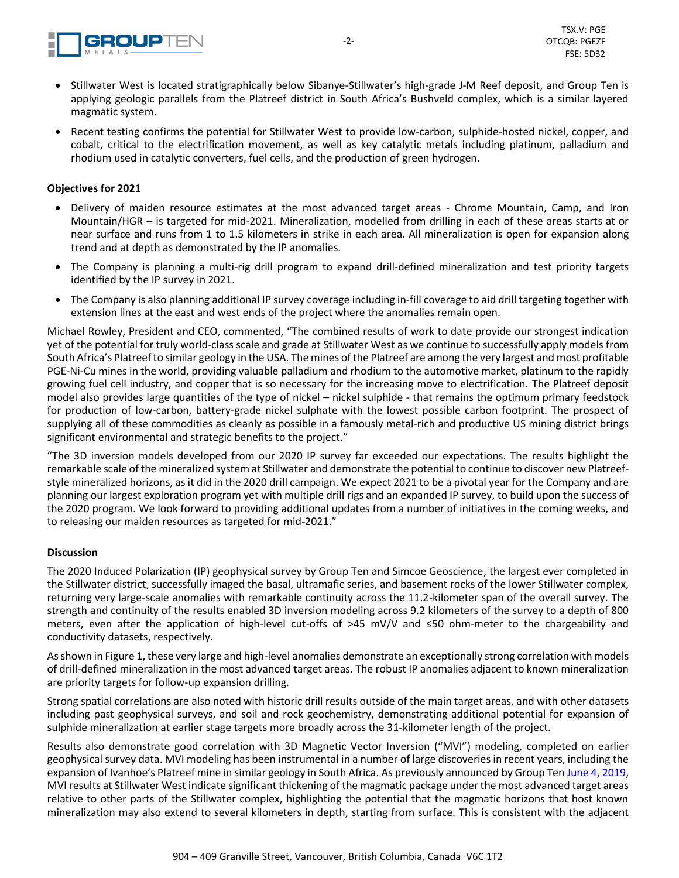

- Stillwater West is located stratigraphically below Sibanye-Stillwater's high-grade J-M Reef deposit, and Group Ten is applying geologic parallels from the Platreef district in South Africa's Bushveld complex, which is a similar layered magmatic system.
- Recent testing confirms the potential for Stillwater West to provide low-carbon, sulphide-hosted nickel, copper, and cobalt, critical to the electrification movement, as well as key catalytic metals including platinum, palladium and rhodium used in catalytic converters, fuel cells, and the production of green hydrogen.

## **Objectives for 2021**

- Delivery of maiden resource estimates at the most advanced target areas Chrome Mountain, Camp, and Iron Mountain/HGR – is targeted for mid-2021. Mineralization, modelled from drilling in each of these areas starts at or near surface and runs from 1 to 1.5 kilometers in strike in each area. All mineralization is open for expansion along trend and at depth as demonstrated by the IP anomalies.
- The Company is planning a multi-rig drill program to expand drill-defined mineralization and test priority targets identified by the IP survey in 2021.
- The Company is also planning additional IP survey coverage including in-fill coverage to aid drill targeting together with extension lines at the east and west ends of the project where the anomalies remain open.

Michael Rowley, President and CEO, commented, "The combined results of work to date provide our strongest indication yet of the potential for truly world-class scale and grade at Stillwater West as we continue to successfully apply models from South Africa's Platreef to similar geology in the USA. The mines of the Platreef are among the very largest and most profitable PGE-Ni-Cu mines in the world, providing valuable palladium and rhodium to the automotive market, platinum to the rapidly growing fuel cell industry, and copper that is so necessary for the increasing move to electrification. The Platreef deposit model also provides large quantities of the type of nickel – nickel sulphide - that remains the optimum primary feedstock for production of low-carbon, battery-grade nickel sulphate with the lowest possible carbon footprint. The prospect of supplying all of these commodities as cleanly as possible in a famously metal-rich and productive US mining district brings significant environmental and strategic benefits to the project."

"The 3D inversion models developed from our 2020 IP survey far exceeded our expectations. The results highlight the remarkable scale of the mineralized system at Stillwater and demonstrate the potential to continue to discover new Platreefstyle mineralized horizons, as it did in the 2020 drill campaign. We expect 2021 to be a pivotal year for the Company and are planning our largest exploration program yet with multiple drill rigs and an expanded IP survey, to build upon the success of the 2020 program. We look forward to providing additional updates from a number of initiatives in the coming weeks, and to releasing our maiden resources as targeted for mid-2021."

#### **Discussion**

The 2020 Induced Polarization (IP) geophysical survey by Group Ten and Simcoe Geoscience, the largest ever completed in the Stillwater district, successfully imaged the basal, ultramafic series, and basement rocks of the lower Stillwater complex, returning very large-scale anomalies with remarkable continuity across the 11.2-kilometer span of the overall survey. The strength and continuity of the results enabled 3D inversion modeling across 9.2 kilometers of the survey to a depth of 800 meters, even after the application of high-level cut-offs of >45 mV/V and ≤50 ohm-meter to the chargeability and conductivity datasets, respectively.

As shown in Figure 1, these very large and high-level anomalies demonstrate an exceptionally strong correlation with models of drill-defined mineralization in the most advanced target areas. The robust IP anomalies adjacent to known mineralization are priority targets for follow-up expansion drilling.

Strong spatial correlations are also noted with historic drill results outside of the main target areas, and with other datasets including past geophysical surveys, and soil and rock geochemistry, demonstrating additional potential for expansion of sulphide mineralization at earlier stage targets more broadly across the 31-kilometer length of the project.

Results also demonstrate good correlation with 3D Magnetic Vector Inversion ("MVI") modeling, completed on earlier geophysical survey data. MVI modeling has been instrumental in a number of large discoveries in recent years, including the expansion of Ivanhoe's Platreef mine in similar geology in South Africa. As previously announced by Group Ten June 4, [2019,](https://grouptenmetals.com/news/2019/group-ten-announces-drill-plans-for-2019-including-testing-of-kilometer-scale-magmatic-targets-identified-in-3d-modelling-at/) MVI results at Stillwater West indicate significant thickening of the magmatic package under the most advanced target areas relative to other parts of the Stillwater complex, highlighting the potential that the magmatic horizons that host known mineralization may also extend to several kilometers in depth, starting from surface. This is consistent with the adjacent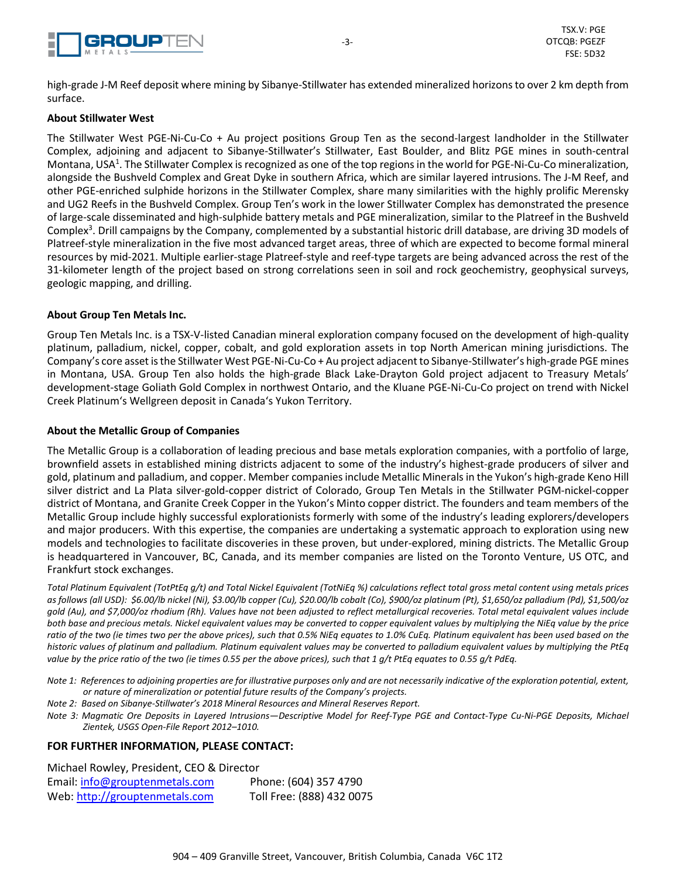

high-grade J-M Reef deposit where mining by Sibanye-Stillwater has extended mineralized horizons to over 2 km depth from surface.

#### **About Stillwater West**

The Stillwater West PGE-Ni-Cu-Co + Au project positions Group Ten as the second-largest landholder in the Stillwater Complex, adjoining and adjacent to Sibanye-Stillwater's Stillwater, East Boulder, and Blitz PGE mines in south-central Montana, USA<sup>1</sup>. The Stillwater Complex is recognized as one of the top regions in the world for PGE-Ni-Cu-Co mineralization, alongside the Bushveld Complex and Great Dyke in southern Africa, which are similar layered intrusions. The J-M Reef, and other PGE-enriched sulphide horizons in the Stillwater Complex, share many similarities with the highly prolific Merensky and UG2 Reefs in the Bushveld Complex. Group Ten's work in the lower Stillwater Complex has demonstrated the presence of large-scale disseminated and high-sulphide battery metals and PGE mineralization, similar to the Platreef in the Bushveld Complex<sup>3</sup>. Drill campaigns by the Company, complemented by a substantial historic drill database, are driving 3D models of Platreef-style mineralization in the five most advanced target areas, three of which are expected to become formal mineral resources by mid-2021. Multiple earlier-stage Platreef-style and reef-type targets are being advanced across the rest of the 31-kilometer length of the project based on strong correlations seen in soil and rock geochemistry, geophysical surveys, geologic mapping, and drilling.

#### **About Group Ten Metals Inc.**

Group Ten Metals Inc. is a TSX-V-listed Canadian mineral exploration company focused on the development of high-quality platinum, palladium, nickel, copper, cobalt, and gold exploration assets in top North American mining jurisdictions. The Company's core asset isthe Stillwater West PGE-Ni-Cu-Co + Au project adjacentto Sibanye-Stillwater's high-grade PGE mines in Montana, USA. Group Ten also holds the high-grade Black Lake-Drayton Gold project adjacent to Treasury Metals' development-stage Goliath Gold Complex in northwest Ontario, and the Kluane PGE-Ni-Cu-Co project on trend with Nickel Creek Platinum's Wellgreen deposit in Canada's Yukon Territory.

#### **About the Metallic Group of Companies**

The Metallic Group is a collaboration of leading precious and base metals exploration companies, with a portfolio of large, brownfield assets in established mining districts adjacent to some of the industry's highest-grade producers of silver and gold, platinum and palladium, and copper. Member companiesinclude Metallic Mineralsin the Yukon's high-grade Keno Hill silver district and La Plata silver-gold-copper district of Colorado, Group Ten Metals in the Stillwater PGM-nickel-copper district of Montana, and Granite Creek Copper in the Yukon's Minto copper district. The founders and team members of the Metallic Group include highly successful explorationists formerly with some of the industry's leading explorers/developers and major producers. With this expertise, the companies are undertaking a systematic approach to exploration using new models and technologies to facilitate discoveries in these proven, but under-explored, mining districts. The Metallic Group is headquartered in Vancouver, BC, Canada, and its member companies are listed on the Toronto Venture, US OTC, and Frankfurt stock exchanges.

Total Platinum Equivalent (TotPtEq q/t) and Total Nickel Equivalent (TotNiEq %) calculations reflect total gross metal content using metals prices as follows (all USD): \$6.00/lb nickel (Ni), \$3.00/lb copper (Cu), \$20.00/lb cobalt (Co), \$900/oz platinum (Pt), \$1,650/oz palladium (Pd), \$1,500/oz gold (Au), and \$7,000/oz rhodium (Rh). Values have not been adjusted to reflect metallurgical recoveries. Total metal equivalent values include both base and precious metals. Nickel equivalent values may be converted to copper equivalent values by multiplying the NiEq value by the price ratio of the two (ie times two per the above prices), such that 0.5% NiEq equates to 1.0% CuEq. Platinum equivalent has been used based on the historic values of platinum and palladium. Platinum equivalent values may be converted to palladium equivalent values by multiplying the PtEq value by the price ratio of the two (ie times 0.55 per the above prices), such that 1 g/t PtEq equates to 0.55 g/t PdEq.

- Note 1: References to adjoining properties are for illustrative purposes only and are not necessarily indicative of the exploration potential, extent, *or nature of mineralization or potential future results of the Company's projects.*
- *Note 2: Based on Sibanye-Stillwater's 2018 Mineral Resources and Mineral Reserves Report.*
- Note 3: Magmatic Ore Deposits in Layered Intrusions-Descriptive Model for Reef-Type PGE and Contact-Type Cu-Ni-PGE Deposits, Michael *Zientek, USGS Open-File Report 2012–1010.*

## **FOR FURTHER INFORMATION, PLEASE CONTACT:**

Michael Rowley, President, CEO & Director Email: info@grouptenmetals.com Phone: (604) 357 4790 Web: [http://grouptenmetals.com](about:blank) Toll Free: (888) 432 0075